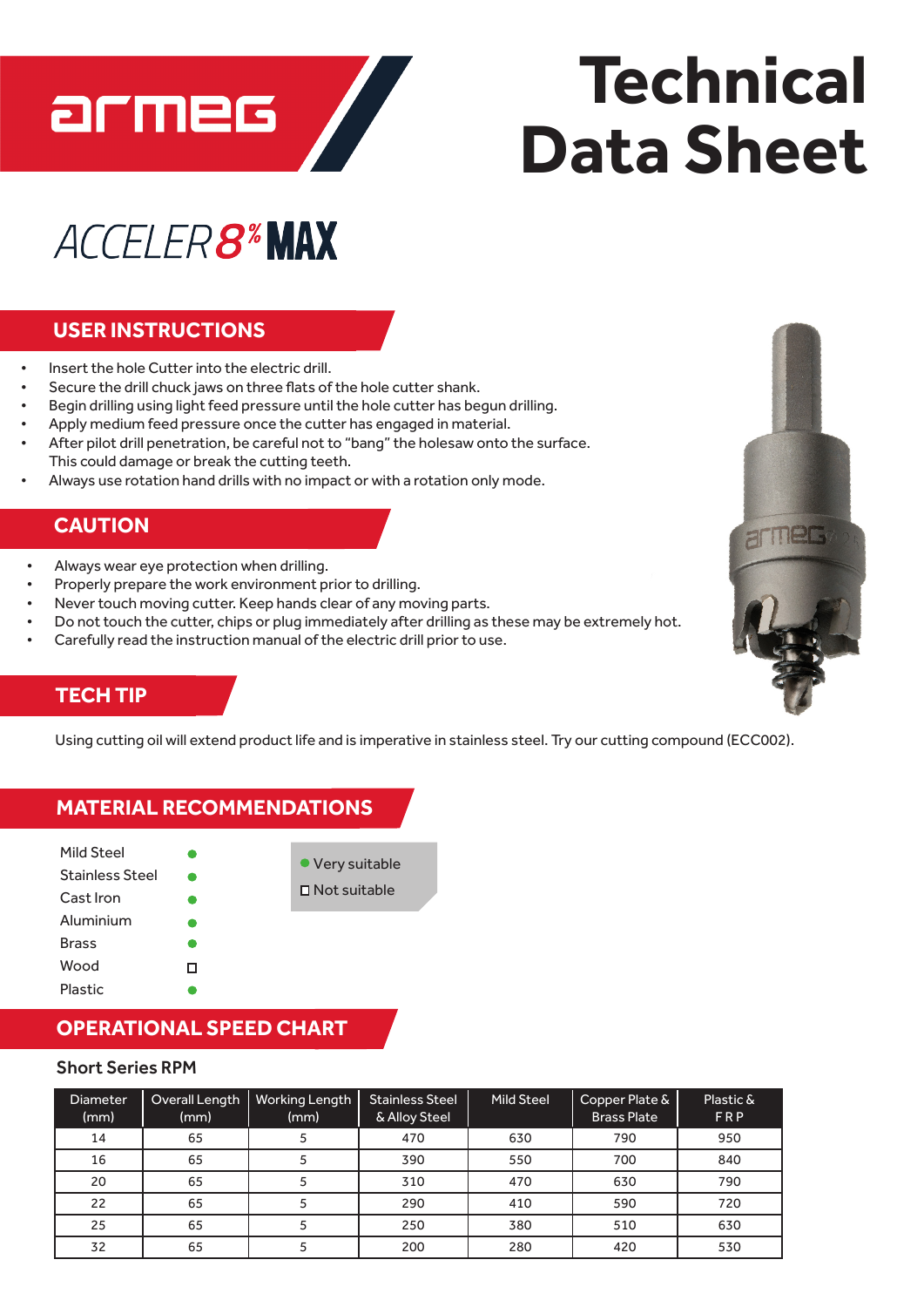

# **Technical Data Sheet**

# **ACCELER8\*MAX**

# **USER INSTRUCTIONS**

- Insert the hole Cutter into the electric drill.
- Secure the drill chuck jaws on three flats of the hole cutter shank.
- Begin drilling using light feed pressure until the hole cutter has begun drilling.
- Apply medium feed pressure once the cutter has engaged in material.
- After pilot drill penetration, be careful not to "bang" the holesaw onto the surface. This could damage or break the cutting teeth.
- Always use rotation hand drills with no impact or with a rotation only mode.

### **CAUTION**

- Always wear eye protection when drilling.
- Properly prepare the work environment prior to drilling.
- Never touch moving cutter. Keep hands clear of any moving parts.
- Do not touch the cutter, chips or plug immediately after drilling as these may be extremely hot.
- Carefully read the instruction manual of the electric drill prior to use.

## **TECH TIP**

Brass Wood Plastic

Using cutting oil will extend productlife and is imperative in stainless steel. Try our cutting compound (ECC002).

#### Mild Steel Stainless Steel Cast Iron Aluminium Very suitable  $\Box$  Not suitable **MATERIAL RECOMMENDATIONS**

# **OPERATIONAL SPEED CHART**

 $\Box$ 

#### Short Series RPM

| Diameter<br>(mm) | Overall Length<br>(mm) | <b>Working Length</b><br>(mm) | <b>Stainless Steel</b><br>& Alloy Steel | <b>Mild Steel</b> | Copper Plate &<br><b>Brass Plate</b> | Plastic &<br><b>FRP</b> |
|------------------|------------------------|-------------------------------|-----------------------------------------|-------------------|--------------------------------------|-------------------------|
| 14               | 65                     |                               | 470                                     | 630               | 790                                  | 950                     |
| 16               | 65                     |                               | 390                                     | 550               | 700                                  | 840                     |
| 20               | 65                     |                               | 310                                     | 470               | 630                                  | 790                     |
| 22               | 65                     |                               | 290                                     | 410               | 590                                  | 720                     |
| 25               | 65                     |                               | 250                                     | 380               | 510                                  | 630                     |
| 32               | 65                     |                               | 200                                     | 280               | 420                                  | 530                     |